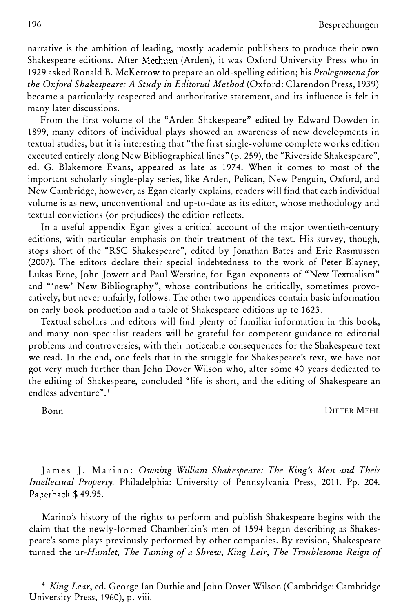narrative is the ambition of leading, mostly academic publishers to produce their own Shakespeare editions. After Methuen (Arden), it was Oxford University Press who in 1929 asked Ronald B. McKerrow to prepare an old-spelling edition; his Prolegomena for the Oxford Shakespeare: A Study in Editorial Method (Oxford: Clarendon Press, 1939) became a particularly respected and authoritative statement, and its influence is felt in many later discussions.

From the first volume of the "Arden Shakespeare" edited by Edward Dowden in 1899, many editors of individual plays showed an awareness of new developments in textual studies, but it is interesting that "the first single-volume complete works edition executed entirely along New Bibliographical lines" (p. 259), the "Riverside Shakespeare'', ed. G. Blakemore Evans, appeared as late as 1974. When it comes to most of the important scholarly single-play series, like Arden, Pelican, New Penguin, Oxford, and New Cambridge, however, as Egan clearly explains, readers will find that each individual volume is as new, unconventional and up-to-date as its editor, whose methodology and textual convictions (or prejudices) the edition reflects.

In a useful appendix Egan gives a critical account of the major twentieth-century editions, with particular emphasis on their treatment of the text. His survey, though, stops short of the "RSC Shakespeare", edited by Jonathan Bates and Eric Rasmussen (2007). The editors declare their special indebtedness to the work of Peter Blayney, Lukas Erne, John Jowett and Paul Werstine, for Egan exponents of "New Textualism" and "'new' New Bibliography", whose contributions he critically, sometimes provocatively, but never unfairly, follows. The other two appendices contain basic information on early book production and a table of Shakespeare editions up to 1623.

Textual scholars and editors will find plenty of familiar information in this book, and many non-specialist readers will be grateful for competent guidance to editorial problems and controversies, with their noticeable consequences for the Shakespeare text we read. In the end, one feels that in the struggle for Shakespeare's text, we have not got very much further than John Dover Wilson who, after some 40 years dedicated to the editing of Shakespeare, concluded "life is short, and the editing of Shakespeare an endless adventure".<sup>4</sup>

Bonn DIETER MEHL

James J. Marino: Owning William Shakespeare: The King's Men and Their Intellectual Property. Philadelphia: University of Pennsylvania Press, 2011. Pp. 204. Paperback \$49.95.

Marino's history of the rights to perform and publish Shakespeare begins with the claim that the newly-formed Chamberlain's men of 1594 began describing as Shakespeare's some plays previously performed by other companies. By revision, Shakespeare turned the ur-Hamlet, The Taming of a Shrew, King Leir, The Troublesome Reign of

<sup>&</sup>lt;sup>4</sup> King Lear, ed. George Ian Duthie and John Dover Wilson (Cambridge: Cambridge University Press, 1960), p. viii.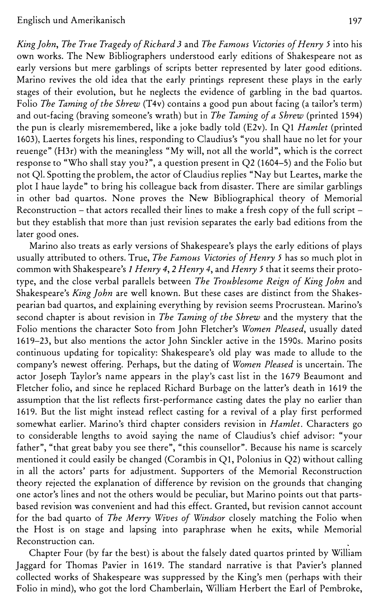## Englisch und Amerikanisch 197

King john, The True Tragedy of Richard 3 and The Famous Victories of Henry 5 into his own works. The New Bibliographers understood early editions of Shakespeare not as early versions but mere garblings of scripts better represented by later good editions. Marino revives the old idea that the early printings represent these plays in the early stages of their evolution, but he neglects the evidence of garbling in the bad quartos. Folio *The Taming of the Shrew* (T4v) contains a good pun about facing (a tailor's term) and out-facing (braving someone's wrath) but in The Taming of a Shrew (printed 1594) the pun is clearly misremembered, like a joke badly told (E2v). In Q1 Hamlet (printed 1603), Laertes forgets his lines, responding to Claudius's "you shall haue no let for your reuenge" (H3r) with the meaningless "My will, not all the world", which is the correct response to "Who shall stay you?", a question present in Q2 (1604-5) and the Folio but not QI. Spotting the problem, the actor of Claudius replies "Nay but Leartes, marke the plot I haue layde" to bring his colleague back from disaster. There are similar garblings in other bad quartos. None proves the New Bibliographical theory of Memorial Reconstruction – that actors recalled their lines to make a fresh copy of the full script – but they establish that more than just revision separates the early bad editions from the later good ones.

Marino also treats as early versions of Shakespeare's plays the early editions of plays usually attributed to others. True, The Famous Victories of Henry 5 has so much plot in common with Shakespeare's I Henry 4, 2 Henry 4, and Henry 5 that it seems their prototype, and the close verbal parallels between *The Troublesome Reign of King John* and Shakespeare's King John are well known. But these cases are distinct from the Shakespearian bad quartos, and explaining everything by revision seems Procrustean. Marino's second chapter is about revision in *The Taming of the Shrew* and the mystery that the Folio mentions the character Soto from John Fletcher's Women Pleased, usually dated 1619-23, but also mentions the actor John Sinckler active in the 1590s. Marino posits continuous updating for topicality: Shakespeare's old play was made to allude to the company's newest offering. Perhaps, but the dating of Women Pleased is uncertain. The actor Joseph Taylor's name appears in the play's cast list in the 1679 Beaumont and Fletcher folio, and since he replaced Richard Burbage on the latter's death in 1619 the assumption that the list reflects first-performance casting dates the play no earlier than 1619. But the list might instead reflect casting for a revival of a play first performed somewhat earlier. Marino's third chapter considers revision in Hamlet. Characters go to considerable lengths to avoid saying the name of Claudius's chief advisor: "your father", "that great baby you see there", "this counsellor". Because his name is scarcely mentioned it could easily be changed (Corambis in Q1, Polonius in Q2) without calling in all the actors' parts for adjustment. Supporters of the Memorial Reconstruction theory rejected the explanation of difference by revision on the grounds that changing one actor's lines and not the others would be peculiar, but Marino points out that partsbased revision was convenient and had this effect. Granted, but revision cannot account for the bad quarto of The Merry Wives of Windsor closely matching the Folio when the Host is on stage and lapsing into paraphrase when he exits, while Memorial Reconstruction can.

Chapter Four (by far the best) is about the falsely dated quartos printed by William Jaggard for Thomas Pavier in 1619. The standard narrative is that Pavier's planned collected works of Shakespeare was suppressed by the King's men (perhaps with their Folio in mind), who got the lord Chamberlain, William Herbert the Earl of Pembroke,